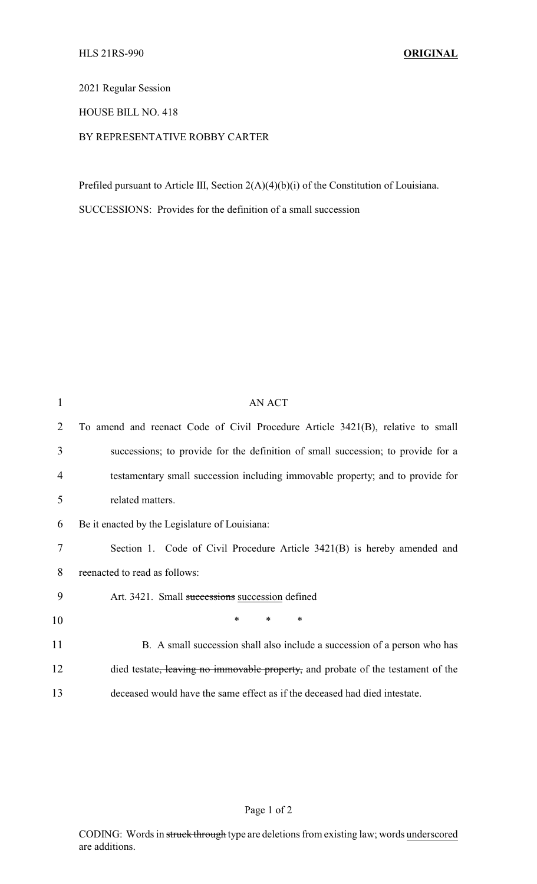2021 Regular Session

HOUSE BILL NO. 418

## BY REPRESENTATIVE ROBBY CARTER

Prefiled pursuant to Article III, Section 2(A)(4)(b)(i) of the Constitution of Louisiana.

SUCCESSIONS: Provides for the definition of a small succession

| 1  | <b>AN ACT</b>                                                                    |
|----|----------------------------------------------------------------------------------|
| 2  | To amend and reenact Code of Civil Procedure Article 3421(B), relative to small  |
| 3  | successions; to provide for the definition of small succession; to provide for a |
| 4  | testamentary small succession including immovable property; and to provide for   |
| 5  | related matters.                                                                 |
| 6  | Be it enacted by the Legislature of Louisiana:                                   |
| 7  | Section 1. Code of Civil Procedure Article 3421(B) is hereby amended and         |
| 8  | reenacted to read as follows:                                                    |
| 9  | Art. 3421. Small successions succession defined                                  |
| 10 | $\ast$<br>*<br>∗                                                                 |
| 11 | B. A small succession shall also include a succession of a person who has        |
| 12 | died testate, leaving no immovable property, and probate of the testament of the |
| 13 | deceased would have the same effect as if the deceased had died intestate.       |

Page 1 of 2